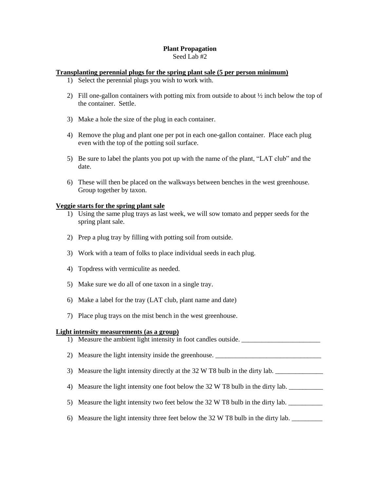## **Plant Propagation**

Seed Lab #2

## **Transplanting perennial plugs for the spring plant sale (5 per person minimum)**

- 1) Select the perennial plugs you wish to work with.
- 2) Fill one-gallon containers with potting mix from outside to about ½ inch below the top of the container. Settle.
- 3) Make a hole the size of the plug in each container.
- 4) Remove the plug and plant one per pot in each one-gallon container. Place each plug even with the top of the potting soil surface.
- 5) Be sure to label the plants you pot up with the name of the plant, "LAT club" and the date.
- 6) These will then be placed on the walkways between benches in the west greenhouse. Group together by taxon.

## **Veggie starts for the spring plant sale**

- 1) Using the same plug trays as last week, we will sow tomato and pepper seeds for the spring plant sale.
- 2) Prep a plug tray by filling with potting soil from outside.
- 3) Work with a team of folks to place individual seeds in each plug.
- 4) Topdress with vermiculite as needed.
- 5) Make sure we do all of one taxon in a single tray.
- 6) Make a label for the tray (LAT club, plant name and date)
- 7) Place plug trays on the mist bench in the west greenhouse.

## **Light intensity measurements (as a group)**



6) Measure the light intensity three feet below the  $32 \text{ W}$  T8 bulb in the dirty lab.